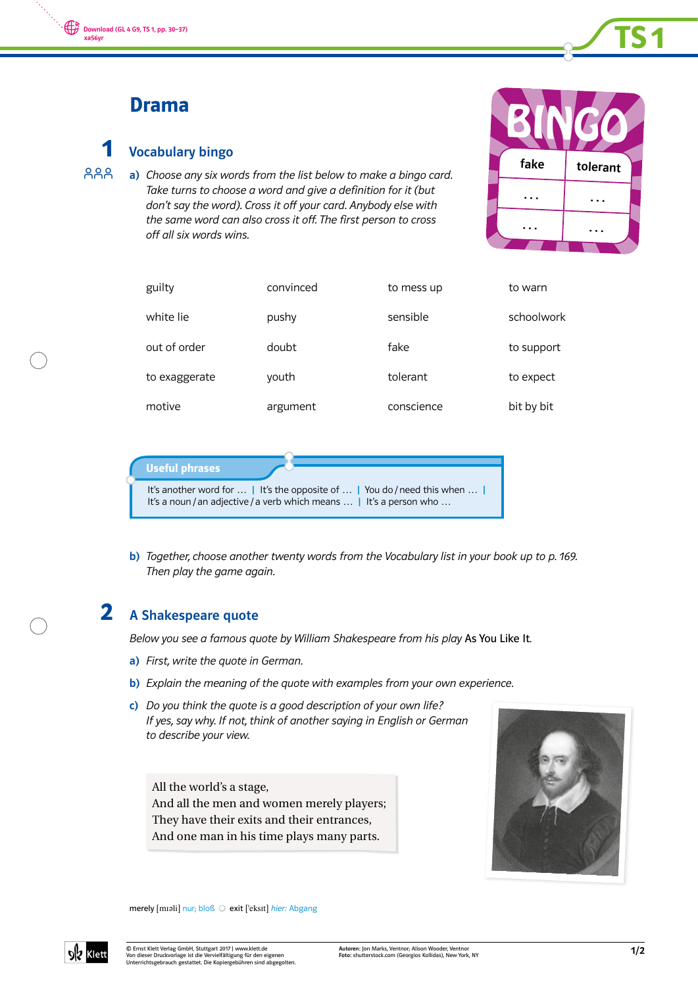

# Drama

#### Vocabulary bingo 1

a) Choose any six words from the list below to make a bingo card. Take turns to choose a word and give a definition for it (but don't say the word). Cross it off your card. Anybody else with the same word can also cross it off. The first person to cross off all six words wins. **AAA** 



| guilty        | convinced | to mess up | to warn    |
|---------------|-----------|------------|------------|
| white lie     | pushy     | sensible   | schoolwork |
| out of order  | doubt     | fake       | to support |
| to exaggerate | youth     | tolerant   | to expect  |
| motive        | argument  | conscience | bit by bit |



b) Together, choose another twenty words from the Vocabulary list in your book up to p. 169. Then play the game again.

### A Shakespeare quote 2

Below you see a famous quote by William Shakespeare from his play As You Like It.

- a) First, write the quote in German.
- b) Explain the meaning of the quote with examples from your own experience.
- c) Do you think the quote is a good description of your own life? If yes, say why. If not, think of another saying in English or German to describe your view.

All the world's a stage, And all the men and women merely players; They have their exits and their entrances, And one man in his time plays many parts.



merely [mɪəli] nur; bloß O exit ['eksɪt] hier: Abgang